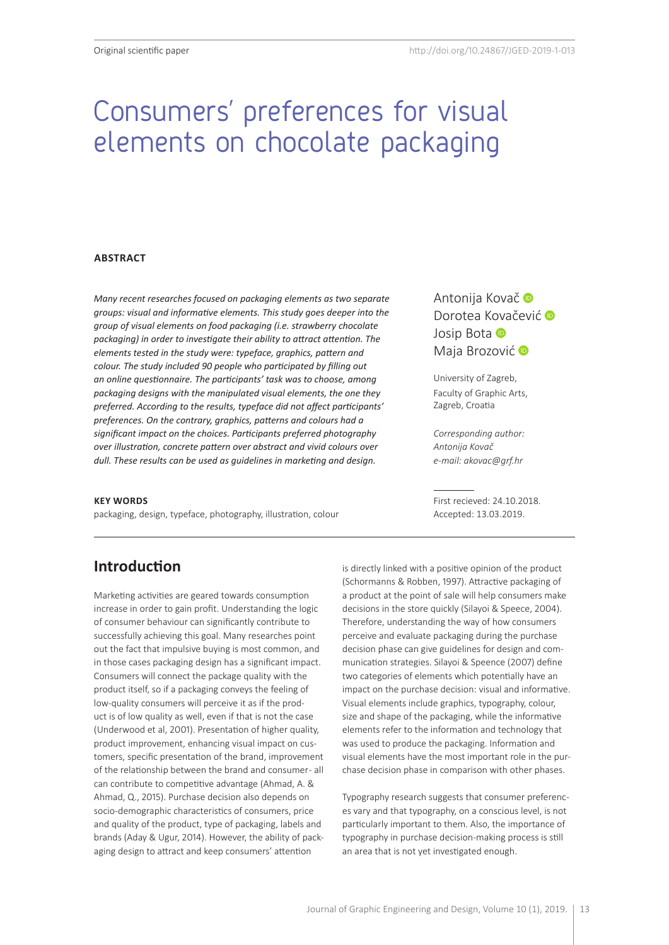# Consumers' preferences for visual elements on chocolate packaging

#### **ABSTRACT**

*Many recent researches focused on packaging elements as two separate groups: visual and informative elements. This study goes deeper into the group of visual elements on food packaging (i.e. strawberry chocolate packaging) in order to investigate their ability to attract attention. The elements tested in the study were: typeface, graphics, pattern and colour. The study included 90 people who participated by filling out an online questionnaire. The participants' task was to choose, among packaging designs with the manipulated visual elements, the one they preferred. According to the results, typeface did not affect participants' preferences. On the contrary, graphics, patterns and colours had a significant impact on the choices. Participants preferred photography over illustration, concrete pattern over abstract and vivid colours over dull. These results can be used as guidelines in marketing and design.*

#### **KEY WORDS**

packaging, design, typeface, photography, illustration, colour

AntonijaKovač<sup>®</sup> DoroteaKovačević D JosipBota **D** MajaBrozović<sup>®</sup>

University of Zagreb, Faculty of Graphic Arts, Zagreb, Croatia

*Corresponding author: Antonija Kovač e-mail: akovac@grf.hr*

First recieved: 24.10.2018. Accepted: 13.03.2019.

## **Introduction**

Marketing activities are geared towards consumption increase in order to gain profit. Understanding the logic of consumer behaviour can significantly contribute to successfully achieving this goal. Many researches point out the fact that impulsive buying is most common, and in those cases packaging design has a significant impact. Consumers will connect the package quality with the product itself, so if a packaging conveys the feeling of low-quality consumers will perceive it as if the product is of low quality as well, even if that is not the case (Underwood et al, 2001). Presentation of higher quality, product improvement, enhancing visual impact on customers, specific presentation of the brand, improvement of the relationship between the brand and consumer- all can contribute to competitive advantage (Ahmad, A. & Ahmad, Q., 2015). Purchase decision also depends on socio-demographic characteristics of consumers, price and quality of the product, type of packaging, labels and brands (Aday & Ugur, 2014). However, the ability of packaging design to attract and keep consumers' attention

is directly linked with a positive opinion of the product (Schormanns & Robben, 1997). Attractive packaging of a product at the point of sale will help consumers make decisions in the store quickly (Silayoi & Speece, 2004). Therefore, understanding the way of how consumers perceive and evaluate packaging during the purchase decision phase can give guidelines for design and communication strategies. Silayoi & Speence (2007) define two categories of elements which potentially have an impact on the purchase decision: visual and informative. Visual elements include graphics, typography, colour, size and shape of the packaging, while the informative elements refer to the information and technology that was used to produce the packaging. Information and visual elements have the most important role in the purchase decision phase in comparison with other phases.

Typography research suggests that consumer preferences vary and that typography, on a conscious level, is not particularly important to them. Also, the importance of typography in purchase decision-making process is still an area that is not yet investigated enough.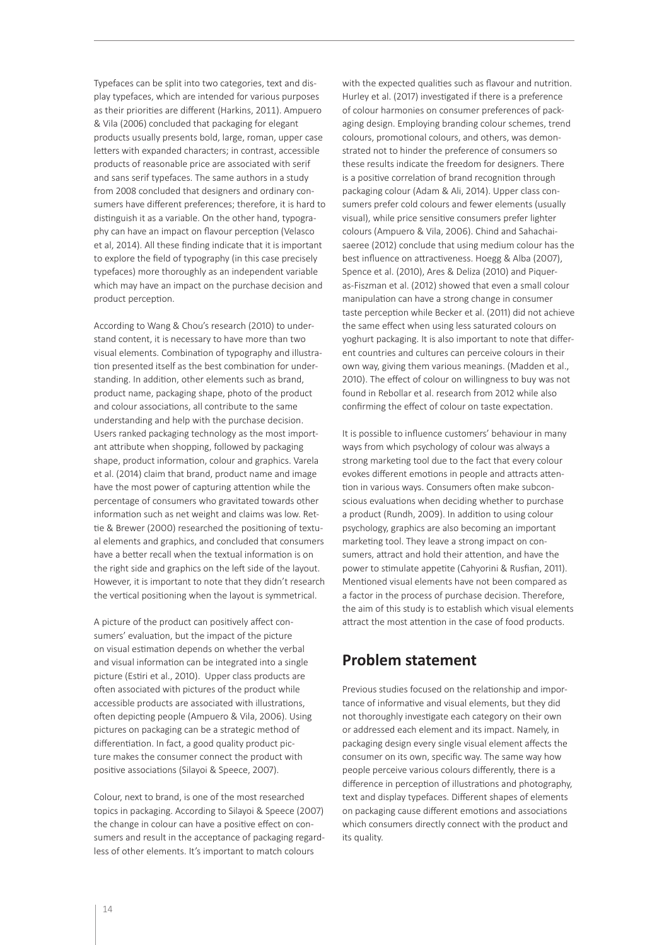Typefaces can be split into two categories, text and display typefaces, which are intended for various purposes as their priorities are different (Harkins, 2011). Ampuero & Vila (2006) concluded that packaging for elegant products usually presents bold, large, roman, upper case letters with expanded characters; in contrast, accessible products of reasonable price are associated with serif and sans serif typefaces. The same authors in a study from 2008 concluded that designers and ordinary consumers have different preferences; therefore, it is hard to distinguish it as a variable. On the other hand, typography can have an impact on flavour perception (Velasco et al, 2014). All these finding indicate that it is important to explore the field of typography (in this case precisely typefaces) more thoroughly as an independent variable which may have an impact on the purchase decision and product perception.

According to Wang & Chou's research (2010) to understand content, it is necessary to have more than two visual elements. Combination of typography and illustration presented itself as the best combination for understanding. In addition, other elements such as brand, product name, packaging shape, photo of the product and colour associations, all contribute to the same understanding and help with the purchase decision. Users ranked packaging technology as the most important attribute when shopping, followed by packaging shape, product information, colour and graphics. Varela et al. (2014) claim that brand, product name and image have the most power of capturing attention while the percentage of consumers who gravitated towards other information such as net weight and claims was low. Rettie & Brewer (2000) researched the positioning of textual elements and graphics, and concluded that consumers have a better recall when the textual information is on the right side and graphics on the left side of the layout. However, it is important to note that they didn't research the vertical positioning when the layout is symmetrical.

A picture of the product can positively affect consumers' evaluation, but the impact of the picture on visual estimation depends on whether the verbal and visual information can be integrated into a single picture (Estiri et al., 2010). Upper class products are often associated with pictures of the product while accessible products are associated with illustrations, often depicting people (Ampuero & Vila, 2006). Using pictures on packaging can be a strategic method of differentiation. In fact, a good quality product picture makes the consumer connect the product with positive associations (Silayoi & Speece, 2007).

Colour, next to brand, is one of the most researched topics in packaging. According to Silayoi & Speece (2007) the change in colour can have a positive effect on consumers and result in the acceptance of packaging regardless of other elements. It's important to match colours

with the expected qualities such as flavour and nutrition. Hurley et al. (2017) investigated if there is a preference of colour harmonies on consumer preferences of packaging design. Employing branding colour schemes, trend colours, promotional colours, and others, was demonstrated not to hinder the preference of consumers so these results indicate the freedom for designers. There is a positive correlation of brand recognition through packaging colour (Adam & Ali, 2014). Upper class consumers prefer cold colours and fewer elements (usually visual), while price sensitive consumers prefer lighter colours (Ampuero & Vila, 2006). Chind and Sahachaisaeree (2012) conclude that using medium colour has the best influence on attractiveness. Hoegg & Alba (2007), Spence et al. (2010), Ares & Deliza (2010) and Piqueras-Fiszman et al. (2012) showed that even a small colour manipulation can have a strong change in consumer taste perception while Becker et al. (2011) did not achieve the same effect when using less saturated colours on yoghurt packaging. It is also important to note that different countries and cultures can perceive colours in their own way, giving them various meanings. (Madden et al., 2010). The effect of colour on willingness to buy was not found in Rebollar et al. research from 2012 while also confirming the effect of colour on taste expectation.

It is possible to influence customers' behaviour in many ways from which psychology of colour was always a strong marketing tool due to the fact that every colour evokes different emotions in people and attracts attention in various ways. Consumers often make subconscious evaluations when deciding whether to purchase a product (Rundh, 2009). In addition to using colour psychology, graphics are also becoming an important marketing tool. They leave a strong impact on consumers, attract and hold their attention, and have the power to stimulate appetite (Cahyorini & Rusfian, 2011). Mentioned visual elements have not been compared as a factor in the process of purchase decision. Therefore, the aim of this study is to establish which visual elements attract the most attention in the case of food products.

## **Problem statement**

Previous studies focused on the relationship and importance of informative and visual elements, but they did not thoroughly investigate each category on their own or addressed each element and its impact. Namely, in packaging design every single visual element affects the consumer on its own, specific way. The same way how people perceive various colours differently, there is a difference in perception of illustrations and photography, text and display typefaces. Different shapes of elements on packaging cause different emotions and associations which consumers directly connect with the product and its quality.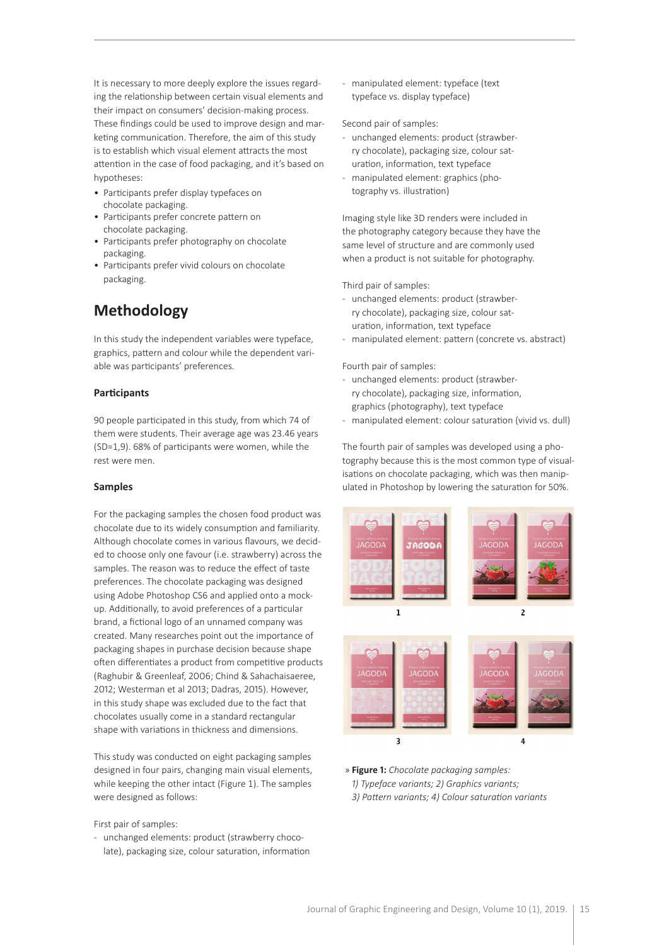It is necessary to more deeply explore the issues regarding the relationship between certain visual elements and their impact on consumers' decision-making process. These findings could be used to improve design and marketing communication. Therefore, the aim of this study is to establish which visual element attracts the most attention in the case of food packaging, and it's based on hypotheses:

- Participants prefer display typefaces on chocolate packaging.
- Participants prefer concrete pattern on chocolate packaging.
- Participants prefer photography on chocolate packaging.
- Participants prefer vivid colours on chocolate packaging.

## **Methodology**

In this study the independent variables were typeface, graphics, pattern and colour while the dependent variable was participants' preferences.

#### **Participants**

90 people participated in this study, from which 74 of them were students. Their average age was 23.46 years (SD=1,9). 68% of participants were women, while the rest were men.

#### **Samples**

For the packaging samples the chosen food product was chocolate due to its widely consumption and familiarity. Although chocolate comes in various flavours, we decided to choose only one favour (i.e. strawberry) across the samples. The reason was to reduce the effect of taste preferences. The chocolate packaging was designed using Adobe Photoshop CS6 and applied onto a mockup. Additionally, to avoid preferences of a particular brand, a fictional logo of an unnamed company was created. Many researches point out the importance of packaging shapes in purchase decision because shape often differentiates a product from competitive products (Raghubir & Greenleaf, 2006; Chind & Sahachaisaeree, 2012; Westerman et al 2013; Dadras, 2015). However, in this study shape was excluded due to the fact that chocolates usually come in a standard rectangular shape with variations in thickness and dimensions.

This study was conducted on eight packaging samples designed in four pairs, changing main visual elements, while keeping the other intact (Figure 1). The samples were designed as follows:

First pair of samples:

- unchanged elements: product (strawberry chocolate), packaging size, colour saturation, information - manipulated element: typeface (text typeface vs. display typeface)

#### Second pair of samples:

- unchanged elements: product (strawberry chocolate), packaging size, colour saturation, information, text typeface
- manipulated element: graphics (photography vs. illustration)

Imaging style like 3D renders were included in the photography category because they have the same level of structure and are commonly used when a product is not suitable for photography.

Third pair of samples:

- unchanged elements: product (strawberry chocolate), packaging size, colour saturation, information, text typeface
- manipulated element: pattern (concrete vs. abstract)

Fourth pair of samples:

- unchanged elements: product (strawberry chocolate), packaging size, information, graphics (photography), text typeface
- manipulated element: colour saturation (vivid vs. dull)

The fourth pair of samples was developed using a photography because this is the most common type of visualisations on chocolate packaging, which was then manipulated in Photoshop by lowering the saturation for 50%.



» **Figure 1:** *Chocolate packaging samples: 1) Typeface variants; 2) Graphics variants; 3) Pattern variants; 4) Colour saturation variants*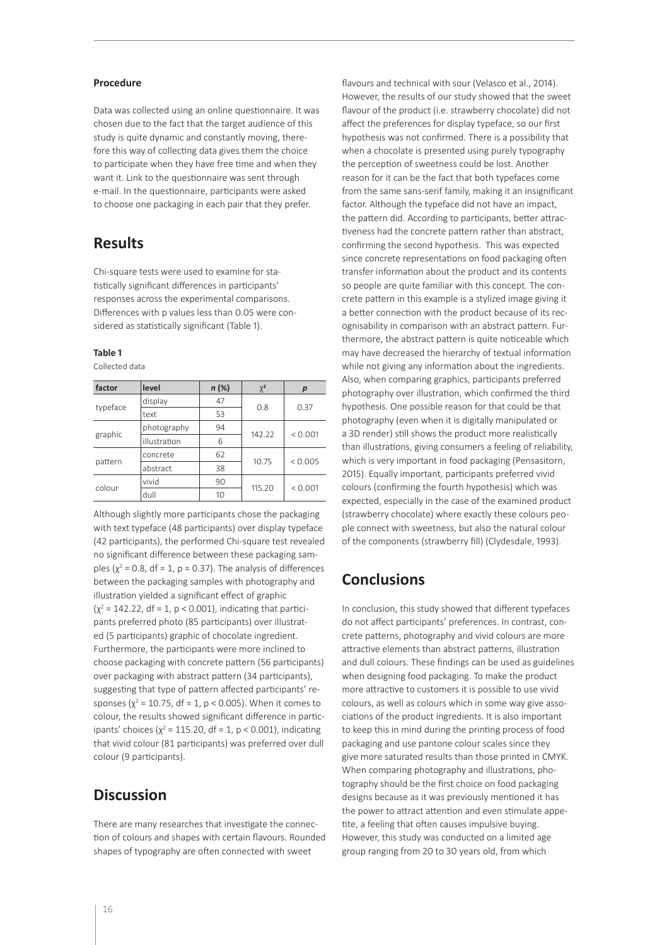#### **Procedure**

Data was collected using an online questionnaire. It was chosen due to the fact that the target audience of this study is quite dynamic and constantly moving, therefore this way of collecting data gives them the choice to participate when they have free time and when they want it. Link to the questionnaire was sent through e-mail. In the questionnaire, participants were asked to choose one packaging in each pair that they prefer.

## **Results**

Chi-square tests were used to examine for statistically significant differences in participants' responses across the experimental comparisons. Differences with p values less than 0.05 were considered as statistically significant (Table 1).

#### **Table 1**

Collected data

| factor   | level        | $n$ (%) | $\chi^2$ | р       |
|----------|--------------|---------|----------|---------|
| typeface | display      | 47      | 0.8      | 0.37    |
|          | text         | 53      |          |         |
| graphic  | photography  | 94      | 142.22   | < 0.001 |
|          | illustration | 6       |          |         |
| pattern  | concrete     | 62      | 10.75    | < 0.005 |
|          | abstract     | 38      |          |         |
| colour   | vivid        | 90      | 115.20   | < 0.001 |
|          | dull         | 10      |          |         |

Although slightly more participants chose the packaging with text typeface (48 participants) over display typeface (42 participants), the performed Chi-square test revealed no significant difference between these packaging samples ( $\chi^2$  = 0.8, df = 1, p = 0.37). The analysis of differences between the packaging samples with photography and illustration yielded a significant effect of graphic  $(\chi^2 = 142.22, df = 1, p < 0.001)$ , indicating that participants preferred photo (85 participants) over illustrated (5 participants) graphic of chocolate ingredient. Furthermore, the participants were more inclined to choose packaging with concrete pattern (56 participants) over packaging with abstract pattern (34 participants), suggesting that type of pattern affected participants' responses ( $\chi^2$  = 10.75, df = 1, p < 0.005). When it comes to colour, the results showed significant difference in participants' choices ( $\chi^2$  = 115.20, df = 1, p < 0.001), indicating that vivid colour (81 participants) was preferred over dull colour (9 participants).

## **Discussion**

There are many researches that investigate the connection of colours and shapes with certain flavours. Rounded shapes of typography are often connected with sweet

flavours and technical with sour (Velasco et al., 2014). However, the results of our study showed that the sweet flavour of the product (i.e. strawberry chocolate) did not affect the preferences for display typeface, so our first hypothesis was not confirmed. There is a possibility that when a chocolate is presented using purely typography the perception of sweetness could be lost. Another reason for it can be the fact that both typefaces come from the same sans-serif family, making it an insignificant factor. Although the typeface did not have an impact, the pattern did. According to participants, better attractiveness had the concrete pattern rather than abstract, confirming the second hypothesis. This was expected since concrete representations on food packaging often transfer information about the product and its contents so people are quite familiar with this concept. The concrete pattern in this example is a stylized image giving it a better connection with the product because of its recognisability in comparison with an abstract pattern. Furthermore, the abstract pattern is quite noticeable which may have decreased the hierarchy of textual information while not giving any information about the ingredients. Also, when comparing graphics, participants preferred photography over illustration, which confirmed the third hypothesis. One possible reason for that could be that photography (even when it is digitally manipulated or a 3D render) still shows the product more realistically than illustrations, giving consumers a feeling of reliability, which is very important in food packaging (Pensasitorn, 2015). Equally important, participants preferred vivid colours (confirming the fourth hypothesis) which was expected, especially in the case of the examined product (strawberry chocolate) where exactly these colours people connect with sweetness, but also the natural colour of the components (strawberry fill) (Clydesdale, 1993).

## **Conclusions**

In conclusion, this study showed that different typefaces do not affect participants' preferences. In contrast, concrete patterns, photography and vivid colours are more attractive elements than abstract patterns, illustration and dull colours. These findings can be used as guidelines when designing food packaging. To make the product more attractive to customers it is possible to use vivid colours, as well as colours which in some way give associations of the product ingredients. It is also important to keep this in mind during the printing process of food packaging and use pantone colour scales since they give more saturated results than those printed in CMYK. When comparing photography and illustrations, photography should be the first choice on food packaging designs because as it was previously mentioned it has the power to attract attention and even stimulate appetite, a feeling that often causes impulsive buying. However, this study was conducted on a limited age group ranging from 20 to 30 years old, from which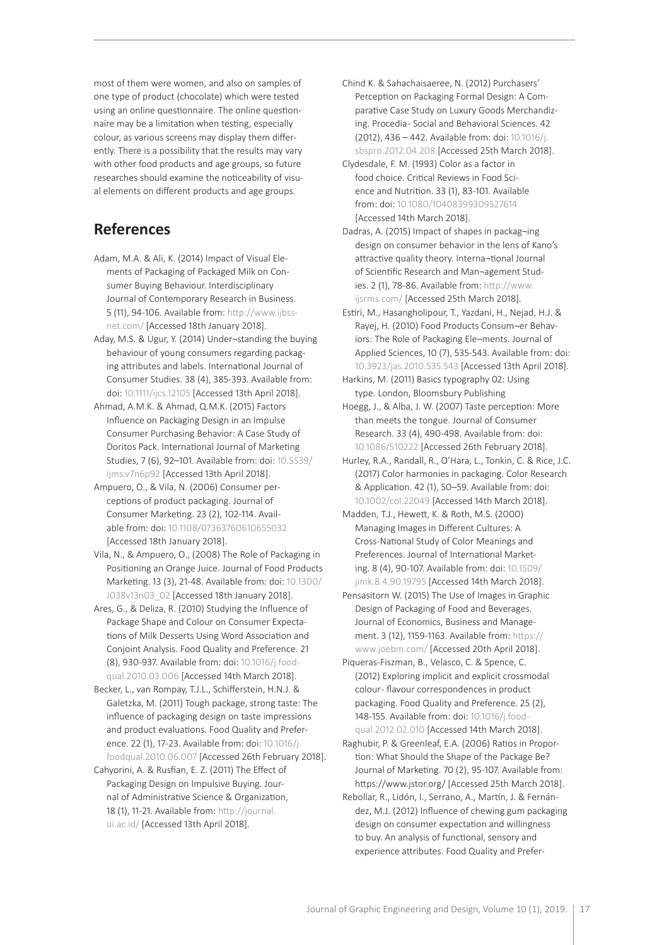most of them were women, and also on samples of one type of product (chocolate) which were tested using an online questionnaire. The online questionnaire may be a limitation when testing, especially colour, as various screens may display them differently. There is a possibility that the results may vary with other food products and age groups, so future researches should examine the noticeability of visual elements on different products and age groups.

## **References**

- Adam, M.A. & Ali, K. (2014) Impact of Visual Elements of Packaging of Packaged Milk on Consumer Buying Behaviour. Interdisciplinary Journal of Contemporary Research in Business. 5 (11), 94-106. Available from: [http://www.ijbss](http://www.ijbssnet.com/)[net.com/](http://www.ijbssnet.com/) [Accessed 18th January 2018].
- Aday, M.S. & Ugur, Y. (2014) Under¬standing the buying behaviour of young consumers regarding packaging attributes and labels. International Journal of Consumer Studies. 38 (4), 385-393. Available from: doi: [10.1111/ijcs.12105](https://onlinelibrary.wiley.com/doi/10.1111/ijcs.12105) [Accessed 13th April 2018].
- Ahmad, A.M.K. & Ahmad, Q.M.K. (2015) Factors Influence on Packaging Design in an Impulse Consumer Purchasing Behavior: A Case Study of Doritos Pack. International Journal of Marketing Studies, 7 (6), 92–101. Available from: doi: [10.5539/](http://www.ccsenet.org/journal/index.php/ijms/article/view/55350) [ijms.v7n6p92](http://www.ccsenet.org/journal/index.php/ijms/article/view/55350) [Accessed 13th April 2018].
- Ampuero, O., & Vila, N. (2006) Consumer perceptions of product packaging. Journal of Consumer Marketing. 23 (2), 102-114. Available from: doi: [10.1108/07363760610655032](https://www.emeraldinsight.com/doi/full/10.1108/07363760610655032) [Accessed 18th January 2018].
- Vila, N., & Ampuero, O., (2008) The Role of Packaging in Positioning an Orange Juice. Journal of Food Products Marketing. 13 (3), 21-48. Available from: doi: 10.1300/ J038v13n03\_02 [Accessed 18th January 2018].
- Ares, G., & Deliza, R. (2010) Studying the Influence of Package Shape and Colour on Consumer Expectations of Milk Desserts Using Word Association and Conjoint Analysis. Food Quality and Preference. 21 (8), 930-937. Available from: doi: [10.1016/j.food](https://www.sciencedirect.com/science/article/pii/S0950329310000364)[qual.2010.03.006](https://www.sciencedirect.com/science/article/pii/S0950329310000364) [Accessed 14th March 2018].
- Becker, L., van Rompay, T.J.L., Schifferstein, H.N.J. & Galetzka, M. (2011) Tough package, strong taste: The influence of packaging design on taste impressions and product evaluations. Food Quality and Preference. 22 (1), 17-23. Available from: doi: [10.1016/j.](https://research.utwente.nl/en/publications/tough-package-strong-taste-the-influence-of-packaging-design-on-t) [foodqual.2010.06.007](https://research.utwente.nl/en/publications/tough-package-strong-taste-the-influence-of-packaging-design-on-t) [Accessed 26th February 2018].
- Cahyorini, A. & Rusfian, E. Z. (2011) The Effect of Packaging Design on Impulsive Buying. Journal of Administrative Science & Organization, 18 (1), 11-21. Available from: [http://journal.](http://journal.ui.ac.id/) [ui.ac.id/](http://journal.ui.ac.id/) [Accessed 13th April 2018].
- Chind K. & Sahachaisaeree, N. (2012) Purchasers' Perception on Packaging Formal Design: A Comparative Case Study on Luxury Goods Merchandizing. Procedia - Social and Behavioral Sciences. 42 (2012), 436 – 442. Available from: doi: [10.1016/j.](https://www.sciencedirect.com/science/article/pii/S1877042812010907) [sbspro.2012.04.208](https://www.sciencedirect.com/science/article/pii/S1877042812010907) [Accessed 25th March 2018].
- Clydesdale, F. M. (1993) Color as a factor in food choice. Critical Reviews in Food Science and Nutrition. 33 (1), 83-101. Available from: doi: [10.1080/10408399309527614](https://www.tandfonline.com/doi/abs/10.1080/10408399309527614) [Accessed 14th March 2018].
- Dadras, A. (2015) Impact of shapes in packag¬ing design on consumer behavior in the lens of Kano's attractive quality theory. Interna¬tional Journal of Scientific Research and Man¬agement Studies. 2 (1), 78-86. Available from: [http://www.](http://www.ijsrms.com/) [ijsrms.com/](http://www.ijsrms.com/) [Accessed 25th March 2018].
- Estiri, M., Hasangholipour, T., Yazdani, H., Nejad, H.J. & Rayej, H. (2010) Food Products Consum¬er Behaviors: The Role of Packaging Ele¬ments. Journal of Applied Sciences, 10 (7), 535-543. Available from: doi: [10.3923/jas.2010.535.543](https://www.researchgate.net/publication/44121594_Food_Products_Consumer_Behaviors_The_Role_of_Packaging_Elements) [Accessed 13th April 2018].
- Harkins, M. (2011) Basics typography 02: Using type. London, Bloomsbury Publishing
- Hoegg, J., & Alba, J. W. (2007) Taste perception: More than meets the tongue. Journal of Consumer Research. 33 (4), 490-498. Available from: doi: [10.1086/510222](https://academic.oup.com/jcr/article/33/4/490/1790345) [Accessed 26th February 2018].
- Hurley, R.A., Randall, R., O'Hara, L., Tonkin, C. & Rice, J.C. (2017) Color harmonies in packaging. Color Research & Application. 42 (1), 50–59. Available from: doi: [10.1002/col.22049](https://onlinelibrary.wiley.com/doi/full/10.1002/col.22049) [Accessed 14th March 2018].
- Madden, T.J., Hewett, K. & Roth, M.S. (2000) Managing Images in Different Cultures: A Cross-National Study of Color Meanings and Preferences. Journal of International Marketing. 8 (4), 90-107. Available from: doi: [10.1509/](https://journals.sagepub.com/doi/abs/10.1509/jimk.8.4.90.19795%3FjournalCode%3Djiga) [jimk.8.4.90.19795](https://journals.sagepub.com/doi/abs/10.1509/jimk.8.4.90.19795%3FjournalCode%3Djiga) [Accessed 14th March 2018].
- Pensasitorn W. (2015) The Use of Images in Graphic Design of Packaging of Food and Beverages. Journal of Economics, Business and Management. 3 (12), 1159-1163. Available from: [https://](https://www.joebm.com/) [www.joebm.com/](https://www.joebm.com/) [Accessed 20th April 2018].
- Piqueras-Fiszman, B., Velasco, C. & Spence, C. (2012) Exploring implicit and explicit crossmodal colour- flavour correspondences in product packaging. Food Quality and Preference. 25 (2), 148-155. Available from: doi: [10.1016/j.food](https://www.sciencedirect.com/science/article/pii/S0950329312000390)[qual.2012.02.010](https://www.sciencedirect.com/science/article/pii/S0950329312000390) [Accessed 14th March 2018].
- Raghubir, P. & Greenleaf, E.A. (2006) Ratios in Proportion: What Should the Shape of the Package Be? Journal of Marketing. 70 (2), 95-107. Available from: https://www.jstor.org/ [Accessed 25th March 2018].
- Rebollar, R., Lidón, I., Serrano, A., Martín, J. & Fernández, M.J. (2012) Influence of chewing gum packaging design on consumer expectation and willingness to buy. An analysis of functional, sensory and experience attributes. Food Quality and Prefer-